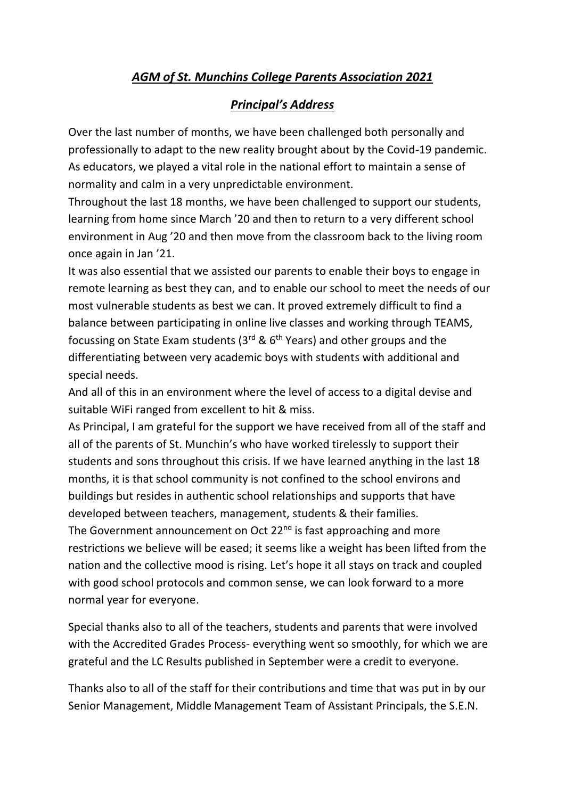## *AGM of St. Munchins College Parents Association 2021*

## *Principal's Address*

Over the last number of months, we have been challenged both personally and professionally to adapt to the new reality brought about by the Covid-19 pandemic. As educators, we played a vital role in the national effort to maintain a sense of normality and calm in a very unpredictable environment.

Throughout the last 18 months, we have been challenged to support our students, learning from home since March '20 and then to return to a very different school environment in Aug '20 and then move from the classroom back to the living room once again in Jan '21.

It was also essential that we assisted our parents to enable their boys to engage in remote learning as best they can, and to enable our school to meet the needs of our most vulnerable students as best we can. It proved extremely difficult to find a balance between participating in online live classes and working through TEAMS, focussing on State Exam students ( $3<sup>rd</sup>$  &  $6<sup>th</sup>$  Years) and other groups and the differentiating between very academic boys with students with additional and special needs.

And all of this in an environment where the level of access to a digital devise and suitable WiFi ranged from excellent to hit & miss.

As Principal, I am grateful for the support we have received from all of the staff and all of the parents of St. Munchin's who have worked tirelessly to support their students and sons throughout this crisis. If we have learned anything in the last 18 months, it is that school community is not confined to the school environs and buildings but resides in authentic school relationships and supports that have developed between teachers, management, students & their families. The Government announcement on Oct 22<sup>nd</sup> is fast approaching and more restrictions we believe will be eased; it seems like a weight has been lifted from the nation and the collective mood is rising. Let's hope it all stays on track and coupled with good school protocols and common sense, we can look forward to a more normal year for everyone.

Special thanks also to all of the teachers, students and parents that were involved with the Accredited Grades Process- everything went so smoothly, for which we are grateful and the LC Results published in September were a credit to everyone.

Thanks also to all of the staff for their contributions and time that was put in by our Senior Management, Middle Management Team of Assistant Principals, the S.E.N.